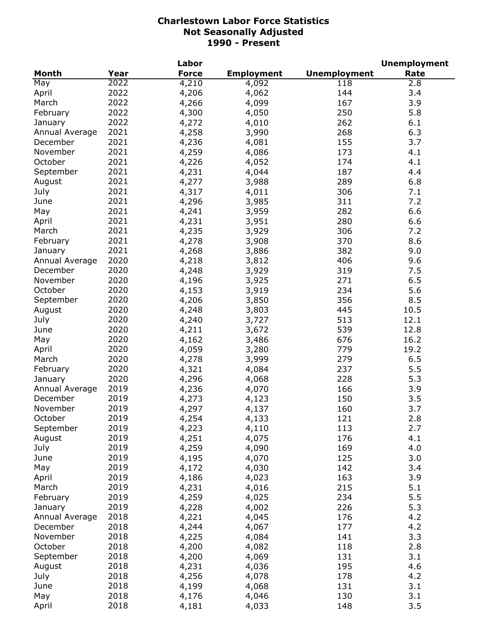|                |      | Labor        |                   |                     | <b>Unemployment</b> |
|----------------|------|--------------|-------------------|---------------------|---------------------|
| Month          | Year | <b>Force</b> | <b>Employment</b> | <b>Unemployment</b> | Rate                |
| May            | 2022 | 4,210        | 4,092             | 118                 | 2.8                 |
| April          | 2022 | 4,206        | 4,062             | 144                 | 3.4                 |
| March          | 2022 | 4,266        | 4,099             | 167                 | 3.9                 |
| February       | 2022 | 4,300        | 4,050             | 250                 | 5.8                 |
| January        | 2022 | 4,272        | 4,010             | 262                 | 6.1                 |
| Annual Average | 2021 | 4,258        | 3,990             | 268                 | 6.3                 |
| December       | 2021 | 4,236        | 4,081             | 155                 | 3.7                 |
| November       | 2021 | 4,259        | 4,086             | 173                 | 4.1                 |
| October        | 2021 | 4,226        | 4,052             | 174                 | 4.1                 |
| September      | 2021 | 4,231        | 4,044             | 187                 | 4.4                 |
| August         | 2021 | 4,277        | 3,988             | 289                 | 6.8                 |
| July           | 2021 | 4,317        | 4,011             | 306                 | 7.1                 |
| June           | 2021 | 4,296        |                   | 311                 | 7.2                 |
|                | 2021 |              | 3,985             | 282                 | 6.6                 |
| May            |      | 4,241        | 3,959             |                     |                     |
| April          | 2021 | 4,231        | 3,951             | 280                 | 6.6                 |
| March          | 2021 | 4,235        | 3,929             | 306                 | 7.2                 |
| February       | 2021 | 4,278        | 3,908             | 370                 | 8.6                 |
| January        | 2021 | 4,268        | 3,886             | 382                 | 9.0                 |
| Annual Average | 2020 | 4,218        | 3,812             | 406                 | 9.6                 |
| December       | 2020 | 4,248        | 3,929             | 319                 | 7.5                 |
| November       | 2020 | 4,196        | 3,925             | 271                 | 6.5                 |
| October        | 2020 | 4,153        | 3,919             | 234                 | 5.6                 |
| September      | 2020 | 4,206        | 3,850             | 356                 | 8.5                 |
| August         | 2020 | 4,248        | 3,803             | 445                 | 10.5                |
| July           | 2020 | 4,240        | 3,727             | 513                 | 12.1                |
| June           | 2020 | 4,211        | 3,672             | 539                 | 12.8                |
| May            | 2020 | 4,162        | 3,486             | 676                 | 16.2                |
| April          | 2020 | 4,059        | 3,280             | 779                 | 19.2                |
| March          | 2020 | 4,278        | 3,999             | 279                 | 6.5                 |
| February       | 2020 | 4,321        | 4,084             | 237                 | 5.5                 |
| January        | 2020 | 4,296        | 4,068             | 228                 | 5.3                 |
| Annual Average | 2019 | 4,236        | 4,070             | 166                 | 3.9                 |
| December       | 2019 | 4,273        | 4,123             | 150                 | 3.5                 |
| November       | 2019 | 4,297        | 4,137             | 160                 | 3.7                 |
| October        | 2019 | 4,254        | 4,133             | 121                 | 2.8                 |
| September      | 2019 | 4,223        | 4,110             | 113                 | 2.7                 |
| August         | 2019 | 4,251        | 4,075             | 176                 | 4.1                 |
| July           | 2019 | 4,259        | 4,090             | 169                 | 4.0                 |
| June           | 2019 | 4,195        | 4,070             | 125                 | 3.0                 |
| May            | 2019 | 4,172        | 4,030             | 142                 | 3.4                 |
| April          | 2019 | 4,186        | 4,023             | 163                 | 3.9                 |
| March          | 2019 | 4,231        | 4,016             | 215                 | 5.1                 |
| February       | 2019 | 4,259        | 4,025             | 234                 | 5.5                 |
| January        | 2019 | 4,228        | 4,002             | 226                 | 5.3                 |
| Annual Average | 2018 | 4,221        |                   | 176                 | 4.2                 |
|                |      |              | 4,045             |                     | 4.2                 |
| December       | 2018 | 4,244        | 4,067             | 177                 |                     |
| November       | 2018 | 4,225        | 4,084             | 141                 | 3.3                 |
| October        | 2018 | 4,200        | 4,082             | 118                 | 2.8                 |
| September      | 2018 | 4,200        | 4,069             | 131                 | 3.1                 |
| August         | 2018 | 4,231        | 4,036             | 195                 | 4.6                 |
| July           | 2018 | 4,256        | 4,078             | 178                 | 4.2                 |
| June           | 2018 | 4,199        | 4,068             | 131                 | 3.1                 |
| May            | 2018 | 4,176        | 4,046             | 130                 | 3.1                 |
| April          | 2018 | 4,181        | 4,033             | 148                 | 3.5                 |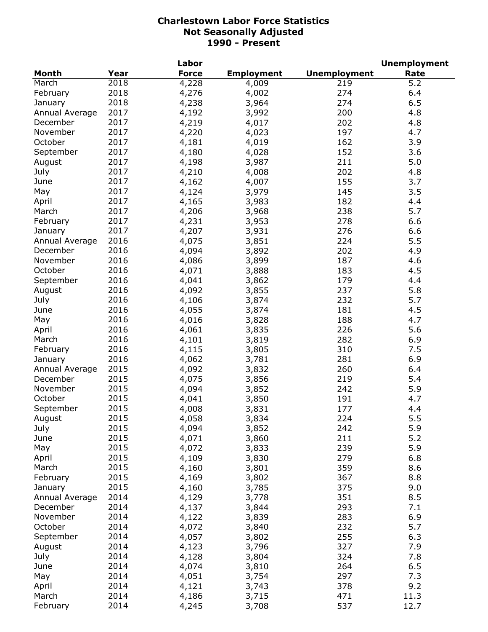|                |      | Labor        |                   |                     | <b>Unemployment</b> |
|----------------|------|--------------|-------------------|---------------------|---------------------|
| <b>Month</b>   | Year | <b>Force</b> | <b>Employment</b> | <b>Unemployment</b> | Rate                |
| March          | 2018 | 4,228        | 4,009             | 219                 | 5.2                 |
| February       | 2018 | 4,276        | 4,002             | 274                 | 6.4                 |
| January        | 2018 | 4,238        | 3,964             | 274                 | 6.5                 |
| Annual Average | 2017 | 4,192        | 3,992             | 200                 | 4.8                 |
| December       | 2017 | 4,219        | 4,017             | 202                 | 4.8                 |
| November       | 2017 | 4,220        | 4,023             | 197                 | 4.7                 |
| October        | 2017 | 4,181        | 4,019             | 162                 | 3.9                 |
| September      | 2017 | 4,180        | 4,028             | 152                 | 3.6                 |
| August         | 2017 | 4,198        | 3,987             | 211                 | 5.0                 |
| July           | 2017 | 4,210        | 4,008             | 202                 | 4.8                 |
| June           | 2017 | 4,162        | 4,007             | 155                 | 3.7                 |
| May            | 2017 | 4,124        | 3,979             | 145                 | 3.5                 |
| April          | 2017 | 4,165        |                   | 182                 | 4.4                 |
| March          | 2017 | 4,206        | 3,983             | 238                 | 5.7                 |
|                |      |              | 3,968             |                     |                     |
| February       | 2017 | 4,231        | 3,953             | 278                 | 6.6                 |
| January        | 2017 | 4,207        | 3,931             | 276                 | 6.6                 |
| Annual Average | 2016 | 4,075        | 3,851             | 224                 | 5.5                 |
| December       | 2016 | 4,094        | 3,892             | 202                 | 4.9                 |
| November       | 2016 | 4,086        | 3,899             | 187                 | 4.6                 |
| October        | 2016 | 4,071        | 3,888             | 183                 | 4.5                 |
| September      | 2016 | 4,041        | 3,862             | 179                 | 4.4                 |
| August         | 2016 | 4,092        | 3,855             | 237                 | 5.8                 |
| July           | 2016 | 4,106        | 3,874             | 232                 | 5.7                 |
| June           | 2016 | 4,055        | 3,874             | 181                 | 4.5                 |
| May            | 2016 | 4,016        | 3,828             | 188                 | 4.7                 |
| April          | 2016 | 4,061        | 3,835             | 226                 | 5.6                 |
| March          | 2016 | 4,101        | 3,819             | 282                 | 6.9                 |
| February       | 2016 | 4,115        | 3,805             | 310                 | 7.5                 |
| January        | 2016 | 4,062        | 3,781             | 281                 | 6.9                 |
| Annual Average | 2015 | 4,092        | 3,832             | 260                 | 6.4                 |
| December       | 2015 | 4,075        | 3,856             | 219                 | 5.4                 |
| November       | 2015 | 4,094        | 3,852             | 242                 | 5.9                 |
| October        | 2015 | 4,041        | 3,850             | 191                 | 4.7                 |
| September      | 2015 | 4,008        | 3,831             | 177                 | 4.4                 |
| August         | 2015 | 4,058        | 3,834             | 224                 | 5.5                 |
| July           | 2015 | 4,094        | 3,852             | 242                 | 5.9                 |
| June           | 2015 | 4,071        | 3,860             | 211                 | 5.2                 |
| May            | 2015 | 4,072        | 3,833             | 239                 | 5.9                 |
| April          | 2015 | 4,109        | 3,830             | 279                 | 6.8                 |
| March          | 2015 | 4,160        | 3,801             | 359                 | 8.6                 |
| February       | 2015 | 4,169        | 3,802             | 367                 | 8.8                 |
| January        | 2015 | 4,160        | 3,785             | 375                 | 9.0                 |
| Annual Average | 2014 | 4,129        | 3,778             | 351                 | 8.5                 |
| December       | 2014 | 4,137        | 3,844             | 293                 | 7.1                 |
| November       | 2014 | 4,122        |                   | 283                 | 6.9                 |
| October        | 2014 |              | 3,839             | 232                 | 5.7                 |
|                |      | 4,072        | 3,840             |                     |                     |
| September      | 2014 | 4,057        | 3,802             | 255                 | 6.3                 |
| August         | 2014 | 4,123        | 3,796             | 327                 | 7.9                 |
| July           | 2014 | 4,128        | 3,804             | 324                 | 7.8                 |
| June           | 2014 | 4,074        | 3,810             | 264                 | 6.5                 |
| May            | 2014 | 4,051        | 3,754             | 297                 | 7.3                 |
| April          | 2014 | 4,121        | 3,743             | 378                 | 9.2                 |
| March          | 2014 | 4,186        | 3,715             | 471                 | 11.3                |
| February       | 2014 | 4,245        | 3,708             | 537                 | 12.7                |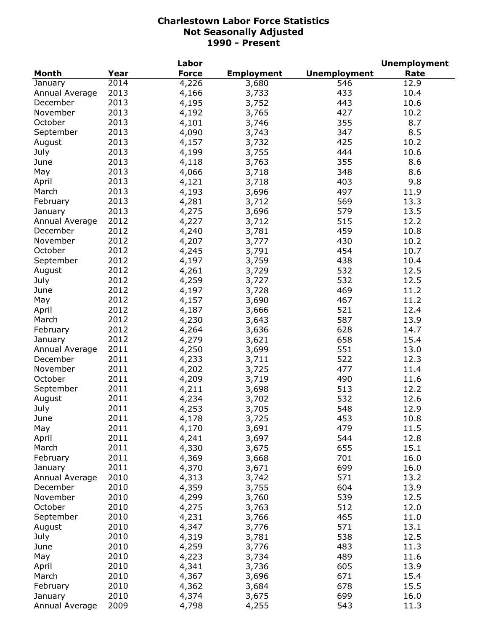|                |      | Labor        |                   |                     | <b>Unemployment</b> |
|----------------|------|--------------|-------------------|---------------------|---------------------|
| <b>Month</b>   | Year | <b>Force</b> | <b>Employment</b> | <b>Unemployment</b> | Rate                |
| January        | 2014 | 4,226        | 3,680             | 546                 | 12.9                |
| Annual Average | 2013 | 4,166        | 3,733             | 433                 | 10.4                |
| December       | 2013 | 4,195        | 3,752             | 443                 | 10.6                |
| November       | 2013 | 4,192        | 3,765             | 427                 | 10.2                |
| October        | 2013 | 4,101        | 3,746             | 355                 | 8.7                 |
| September      | 2013 | 4,090        | 3,743             | 347                 | 8.5                 |
| August         | 2013 | 4,157        | 3,732             | 425                 | 10.2                |
| July           | 2013 | 4,199        | 3,755             | 444                 | 10.6                |
| June           | 2013 | 4,118        | 3,763             | 355                 | 8.6                 |
| May            | 2013 | 4,066        | 3,718             | 348                 | 8.6                 |
| April          | 2013 | 4,121        | 3,718             | 403                 | 9.8                 |
| March          | 2013 | 4,193        | 3,696             | 497                 | 11.9                |
| February       | 2013 | 4,281        | 3,712             | 569                 | 13.3                |
| January        | 2013 | 4,275        | 3,696             | 579                 | 13.5                |
| Annual Average | 2012 | 4,227        | 3,712             | 515                 | 12.2                |
| December       | 2012 | 4,240        | 3,781             | 459                 | 10.8                |
| November       | 2012 | 4,207        | 3,777             | 430                 | 10.2                |
| October        | 2012 | 4,245        | 3,791             | 454                 | 10.7                |
| September      | 2012 | 4,197        | 3,759             | 438                 | 10.4                |
| August         | 2012 | 4,261        | 3,729             | 532                 | 12.5                |
| July           | 2012 | 4,259        | 3,727             | 532                 | 12.5                |
| June           | 2012 | 4,197        | 3,728             | 469                 | 11.2                |
| May            | 2012 | 4,157        | 3,690             | 467                 | 11.2                |
| April          | 2012 | 4,187        | 3,666             | 521                 | 12.4                |
| March          | 2012 | 4,230        | 3,643             | 587                 | 13.9                |
| February       | 2012 | 4,264        | 3,636             | 628                 | 14.7                |
| January        | 2012 | 4,279        | 3,621             | 658                 | 15.4                |
| Annual Average | 2011 | 4,250        | 3,699             | 551                 | 13.0                |
| December       | 2011 | 4,233        | 3,711             | 522                 | 12.3                |
| November       | 2011 | 4,202        | 3,725             | 477                 | 11.4                |
| October        | 2011 | 4,209        | 3,719             | 490                 | 11.6                |
| September      | 2011 | 4,211        | 3,698             | 513                 | 12.2                |
| August         | 2011 | 4,234        | 3,702             | 532                 | 12.6                |
| July           | 2011 | 4,253        | 3,705             | 548                 | 12.9                |
| June           | 2011 | 4,178        | 3,725             | 453                 | 10.8                |
| May            | 2011 | 4,170        | 3,691             | 479                 | 11.5                |
| April          | 2011 | 4,241        | 3,697             | 544                 | 12.8                |
| March          | 2011 | 4,330        | 3,675             | 655                 | 15.1                |
| February       | 2011 | 4,369        | 3,668             | 701                 | 16.0                |
| January        | 2011 | 4,370        | 3,671             | 699                 | 16.0                |
| Annual Average | 2010 | 4,313        | 3,742             | 571                 | 13.2                |
| December       | 2010 | 4,359        | 3,755             | 604                 | 13.9                |
| November       | 2010 | 4,299        | 3,760             | 539                 | 12.5                |
| October        | 2010 | 4,275        | 3,763             | 512                 | 12.0                |
| September      | 2010 | 4,231        | 3,766             | 465                 | 11.0                |
| August         | 2010 | 4,347        | 3,776             | 571                 | 13.1                |
| July           | 2010 | 4,319        | 3,781             | 538                 | 12.5                |
| June           | 2010 | 4,259        | 3,776             | 483                 | 11.3                |
| May            | 2010 | 4,223        | 3,734             | 489                 | 11.6                |
| April          | 2010 | 4,341        |                   | 605                 | 13.9                |
| March          | 2010 | 4,367        | 3,736<br>3,696    | 671                 | 15.4                |
| February       | 2010 | 4,362        | 3,684             | 678                 | 15.5                |
| January        | 2010 | 4,374        | 3,675             | 699                 | 16.0                |
| Annual Average | 2009 | 4,798        | 4,255             | 543                 | 11.3                |
|                |      |              |                   |                     |                     |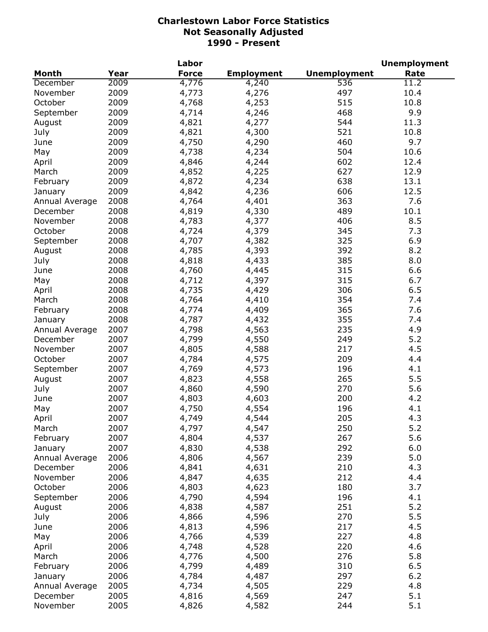|                |      | Labor        |                   |                     | <b>Unemployment</b> |
|----------------|------|--------------|-------------------|---------------------|---------------------|
| <b>Month</b>   | Year | <b>Force</b> | <b>Employment</b> | <b>Unemployment</b> | Rate                |
| December       | 2009 | 4,776        | 4,240             | 536                 | 11.2                |
| November       | 2009 | 4,773        | 4,276             | 497                 | 10.4                |
| October        | 2009 | 4,768        | 4,253             | 515                 | 10.8                |
| September      | 2009 | 4,714        | 4,246             | 468                 | 9.9                 |
| August         | 2009 | 4,821        | 4,277             | 544                 | 11.3                |
| July           | 2009 | 4,821        | 4,300             | 521                 | 10.8                |
| June           | 2009 | 4,750        | 4,290             | 460                 | 9.7                 |
| May            | 2009 | 4,738        | 4,234             | 504                 | 10.6                |
| April          | 2009 | 4,846        | 4,244             | 602                 | 12.4                |
| March          | 2009 | 4,852        | 4,225             | 627                 | 12.9                |
| February       | 2009 | 4,872        | 4,234             | 638                 | 13.1                |
| January        | 2009 | 4,842        | 4,236             | 606                 | 12.5                |
| Annual Average | 2008 | 4,764        | 4,401             | 363                 | 7.6                 |
| December       | 2008 | 4,819        | 4,330             | 489                 | 10.1                |
| November       | 2008 | 4,783        | 4,377             | 406                 | 8.5                 |
| October        | 2008 | 4,724        | 4,379             | 345                 | 7.3                 |
| September      | 2008 | 4,707        | 4,382             | 325                 | 6.9                 |
|                | 2008 |              |                   | 392                 | 8.2                 |
| August         |      | 4,785        | 4,393             |                     |                     |
| July           | 2008 | 4,818        | 4,433             | 385                 | 8.0                 |
| June           | 2008 | 4,760        | 4,445             | 315                 | 6.6                 |
| May            | 2008 | 4,712        | 4,397             | 315                 | 6.7                 |
| April          | 2008 | 4,735        | 4,429             | 306                 | 6.5                 |
| March          | 2008 | 4,764        | 4,410             | 354                 | 7.4                 |
| February       | 2008 | 4,774        | 4,409             | 365                 | 7.6                 |
| January        | 2008 | 4,787        | 4,432             | 355                 | 7.4                 |
| Annual Average | 2007 | 4,798        | 4,563             | 235                 | 4.9                 |
| December       | 2007 | 4,799        | 4,550             | 249                 | 5.2                 |
| November       | 2007 | 4,805        | 4,588             | 217                 | 4.5                 |
| October        | 2007 | 4,784        | 4,575             | 209                 | 4.4                 |
| September      | 2007 | 4,769        | 4,573             | 196                 | 4.1                 |
| August         | 2007 | 4,823        | 4,558             | 265                 | 5.5                 |
| July           | 2007 | 4,860        | 4,590             | 270                 | 5.6                 |
| June           | 2007 | 4,803        | 4,603             | 200                 | 4.2                 |
| May            | 2007 | 4,750        | 4,554             | 196                 | 4.1                 |
| April          | 2007 | 4,749        | 4,544             | 205                 | 4.3                 |
| March          | 2007 | 4,797        | 4,547             | 250                 | 5.2                 |
| February       | 2007 | 4,804        | 4,537             | 267                 | 5.6                 |
| January        | 2007 | 4,830        | 4,538             | 292                 | 6.0                 |
| Annual Average | 2006 | 4,806        | 4,567             | 239                 | 5.0                 |
| December       | 2006 | 4,841        | 4,631             | 210                 | 4.3                 |
| November       | 2006 | 4,847        | 4,635             | 212                 | 4.4                 |
| October        | 2006 | 4,803        | 4,623             | 180                 | 3.7                 |
| September      | 2006 | 4,790        | 4,594             | 196                 | 4.1                 |
| August         | 2006 | 4,838        | 4,587             | 251                 | 5.2                 |
| July           | 2006 | 4,866        | 4,596             | 270                 | 5.5                 |
| June           | 2006 | 4,813        | 4,596             | 217                 | 4.5                 |
| May            | 2006 | 4,766        | 4,539             | 227                 | 4.8                 |
| April          | 2006 | 4,748        | 4,528             | 220                 | 4.6                 |
| March          | 2006 | 4,776        | 4,500             | 276                 | 5.8                 |
| February       | 2006 | 4,799        | 4,489             | 310                 | 6.5                 |
| January        | 2006 | 4,784        | 4,487             | 297                 | $6.2$               |
| Annual Average | 2005 | 4,734        | 4,505             | 229                 | 4.8                 |
| December       | 2005 | 4,816        | 4,569             | 247                 | 5.1                 |
| November       | 2005 | 4,826        | 4,582             | 244                 | 5.1                 |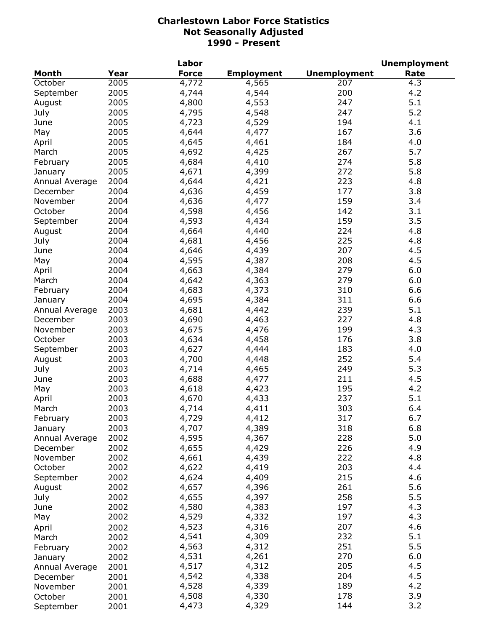|                |      | Labor        |                   |                     | <b>Unemployment</b> |
|----------------|------|--------------|-------------------|---------------------|---------------------|
| <b>Month</b>   | Year | <b>Force</b> | <b>Employment</b> | <b>Unemployment</b> | Rate                |
| October        | 2005 | 4,772        | 4,565             | $\overline{207}$    | 4.3                 |
| September      | 2005 | 4,744        | 4,544             | 200                 | 4.2                 |
| August         | 2005 | 4,800        | 4,553             | 247                 | 5.1                 |
| July           | 2005 | 4,795        | 4,548             | 247                 | 5.2                 |
| June           | 2005 | 4,723        | 4,529             | 194                 | 4.1                 |
| May            | 2005 | 4,644        | 4,477             | 167                 | 3.6                 |
| April          | 2005 | 4,645        | 4,461             | 184                 | 4.0                 |
| March          | 2005 | 4,692        | 4,425             | 267                 | 5.7                 |
| February       | 2005 | 4,684        | 4,410             | 274                 | 5.8                 |
| January        | 2005 | 4,671        | 4,399             | 272                 | 5.8                 |
| Annual Average | 2004 | 4,644        | 4,421             | 223                 | 4.8                 |
| December       | 2004 | 4,636        | 4,459             | 177                 | 3.8                 |
| November       | 2004 | 4,636        | 4,477             | 159                 | 3.4                 |
| October        | 2004 | 4,598        | 4,456             | 142                 | 3.1                 |
| September      | 2004 | 4,593        | 4,434             | 159                 | 3.5                 |
|                | 2004 |              |                   | 224                 | 4.8                 |
| August         |      | 4,664        | 4,440             |                     |                     |
| July           | 2004 | 4,681        | 4,456             | 225                 | 4.8                 |
| June           | 2004 | 4,646        | 4,439             | 207                 | 4.5                 |
| May            | 2004 | 4,595        | 4,387             | 208                 | 4.5                 |
| April          | 2004 | 4,663        | 4,384             | 279                 | 6.0                 |
| March          | 2004 | 4,642        | 4,363             | 279                 | 6.0                 |
| February       | 2004 | 4,683        | 4,373             | 310                 | 6.6                 |
| January        | 2004 | 4,695        | 4,384             | 311                 | 6.6                 |
| Annual Average | 2003 | 4,681        | 4,442             | 239                 | 5.1                 |
| December       | 2003 | 4,690        | 4,463             | 227                 | 4.8                 |
| November       | 2003 | 4,675        | 4,476             | 199                 | 4.3                 |
| October        | 2003 | 4,634        | 4,458             | 176                 | 3.8                 |
| September      | 2003 | 4,627        | 4,444             | 183                 | 4.0                 |
| August         | 2003 | 4,700        | 4,448             | 252                 | 5.4                 |
| July           | 2003 | 4,714        | 4,465             | 249                 | 5.3                 |
| June           | 2003 | 4,688        | 4,477             | 211                 | 4.5                 |
| May            | 2003 | 4,618        | 4,423             | 195                 | 4.2                 |
| April          | 2003 | 4,670        | 4,433             | 237                 | 5.1                 |
| March          | 2003 | 4,714        | 4,411             | 303                 | 6.4                 |
| February       | 2003 | 4,729        | 4,412             | 317                 | 6.7                 |
| January        | 2003 | 4,707        | 4,389             | 318                 | 6.8                 |
| Annual Average | 2002 | 4,595        | 4,367             | 228                 | 5.0                 |
| December       | 2002 | 4,655        | 4,429             | 226                 | 4.9                 |
| November       | 2002 | 4,661        | 4,439             | 222                 | 4.8                 |
| October        | 2002 | 4,622        | 4,419             | 203                 | 4.4                 |
| September      | 2002 | 4,624        | 4,409             | 215                 | 4.6                 |
| August         | 2002 | 4,657        | 4,396             | 261                 | 5.6                 |
| July           | 2002 | 4,655        | 4,397             | 258                 | 5.5                 |
|                | 2002 | 4,580        | 4,383             | 197                 | 4.3                 |
| June           |      |              |                   | 197                 | 4.3                 |
| May            | 2002 | 4,529        | 4,332             |                     |                     |
| April          | 2002 | 4,523        | 4,316             | 207                 | 4.6                 |
| March          | 2002 | 4,541        | 4,309             | 232                 | 5.1                 |
| February       | 2002 | 4,563        | 4,312             | 251                 | 5.5                 |
| January        | 2002 | 4,531        | 4,261             | 270                 | 6.0                 |
| Annual Average | 2001 | 4,517        | 4,312             | 205                 | 4.5                 |
| December       | 2001 | 4,542        | 4,338             | 204                 | 4.5                 |
| November       | 2001 | 4,528        | 4,339             | 189                 | 4.2                 |
| October        | 2001 | 4,508        | 4,330             | 178                 | 3.9                 |
| September      | 2001 | 4,473        | 4,329             | 144                 | 3.2                 |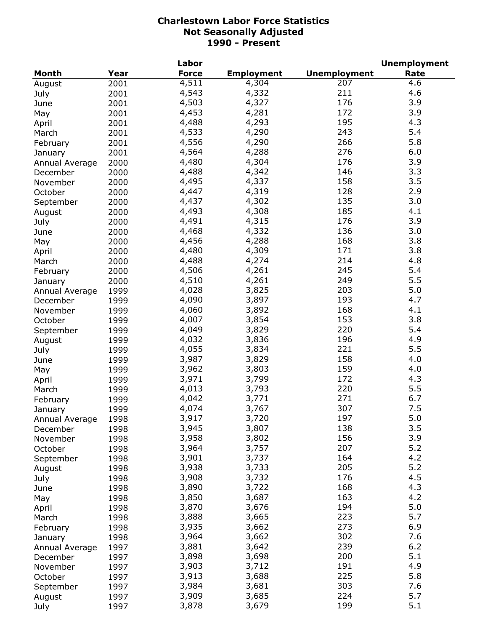|                |      | Labor        |                   |                     | <b>Unemployment</b> |
|----------------|------|--------------|-------------------|---------------------|---------------------|
| Month          | Year | <b>Force</b> | <b>Employment</b> | <b>Unemployment</b> | Rate                |
| August         | 2001 | 4,511        | 4,304             | $\overline{207}$    | 4.6                 |
| July           | 2001 | 4,543        | 4,332             | 211                 | 4.6                 |
| June           | 2001 | 4,503        | 4,327             | 176                 | 3.9                 |
| May            | 2001 | 4,453        | 4,281             | 172                 | 3.9                 |
| April          | 2001 | 4,488        | 4,293             | 195                 | 4.3                 |
| March          | 2001 | 4,533        | 4,290             | 243                 | 5.4                 |
| February       | 2001 | 4,556        | 4,290             | 266                 | 5.8                 |
| January        | 2001 | 4,564        | 4,288             | 276                 | 6.0                 |
| Annual Average | 2000 | 4,480        | 4,304             | 176                 | 3.9                 |
| December       | 2000 | 4,488        | 4,342             | 146                 | 3.3                 |
| November       | 2000 | 4,495        | 4,337             | 158                 | 3.5                 |
| October        | 2000 | 4,447        | 4,319             | 128                 | 2.9                 |
| September      | 2000 | 4,437        | 4,302             | 135                 | 3.0                 |
|                |      | 4,493        | 4,308             | 185                 | 4.1                 |
| August         | 2000 | 4,491        | 4,315             | 176                 | 3.9                 |
| July           | 2000 |              |                   | 136                 | 3.0                 |
| June           | 2000 | 4,468        | 4,332             |                     |                     |
| May            | 2000 | 4,456        | 4,288             | 168                 | 3.8                 |
| April          | 2000 | 4,480        | 4,309             | 171                 | 3.8                 |
| March          | 2000 | 4,488        | 4,274             | 214                 | 4.8                 |
| February       | 2000 | 4,506        | 4,261             | 245                 | 5.4                 |
| January        | 2000 | 4,510        | 4,261             | 249                 | 5.5                 |
| Annual Average | 1999 | 4,028        | 3,825             | 203                 | 5.0                 |
| December       | 1999 | 4,090        | 3,897             | 193                 | 4.7                 |
| November       | 1999 | 4,060        | 3,892             | 168                 | 4.1                 |
| October        | 1999 | 4,007        | 3,854             | 153                 | 3.8                 |
| September      | 1999 | 4,049        | 3,829             | 220                 | 5.4                 |
| August         | 1999 | 4,032        | 3,836             | 196                 | 4.9                 |
| July           | 1999 | 4,055        | 3,834             | 221                 | 5.5                 |
| June           | 1999 | 3,987        | 3,829             | 158                 | 4.0                 |
| May            | 1999 | 3,962        | 3,803             | 159                 | 4.0                 |
| April          | 1999 | 3,971        | 3,799             | 172                 | 4.3                 |
| March          | 1999 | 4,013        | 3,793             | 220                 | 5.5                 |
| February       | 1999 | 4,042        | 3,771             | 271                 | 6.7                 |
| January        | 1999 | 4,074        | 3,767             | 307                 | 7.5                 |
| Annual Average | 1998 | 3,917        | 3,720             | 197                 | 5.0                 |
| December       | 1998 | 3,945        | 3,807             | 138                 | 3.5                 |
| November       | 1998 | 3,958        | 3,802             | 156                 | 3.9                 |
| October        | 1998 | 3,964        | 3,757             | 207                 | 5.2                 |
| September      | 1998 | 3,901        | 3,737             | 164                 | 4.2                 |
| August         | 1998 | 3,938        | 3,733             | 205                 | 5.2                 |
| July           | 1998 | 3,908        | 3,732             | 176                 | 4.5                 |
| June           | 1998 | 3,890        | 3,722             | 168                 | 4.3                 |
| May            | 1998 | 3,850        | 3,687             | 163                 | 4.2                 |
| April          | 1998 | 3,870        | 3,676             | 194                 | 5.0                 |
| March          | 1998 | 3,888        | 3,665             | 223                 | 5.7                 |
| February       | 1998 | 3,935        | 3,662             | 273                 | 6.9                 |
| January        | 1998 | 3,964        | 3,662             | 302                 | 7.6                 |
| Annual Average | 1997 | 3,881        | 3,642             | 239                 | 6.2                 |
| December       | 1997 | 3,898        | 3,698             | 200                 | 5.1                 |
| November       | 1997 | 3,903        | 3,712             | 191                 | 4.9                 |
|                | 1997 | 3,913        | 3,688             | 225                 | 5.8                 |
| October        |      | 3,984        | 3,681             | 303                 | 7.6                 |
| September      | 1997 | 3,909        | 3,685             | 224                 | 5.7                 |
| August         | 1997 |              |                   | 199                 | 5.1                 |
| July           | 1997 | 3,878        | 3,679             |                     |                     |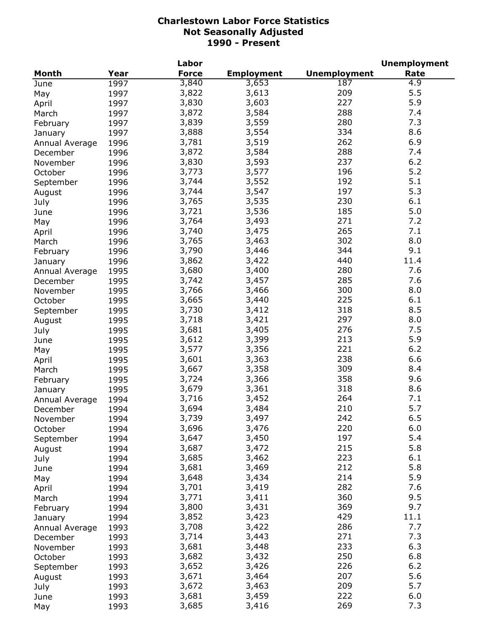|                |      | Labor        |                   |                     | <b>Unemployment</b> |
|----------------|------|--------------|-------------------|---------------------|---------------------|
| <b>Month</b>   | Year | <b>Force</b> | <b>Employment</b> | <b>Unemployment</b> | Rate                |
| June           | 1997 | 3,840        | 3,653             | 187                 | 4.9                 |
| May            | 1997 | 3,822        | 3,613             | 209                 | 5.5                 |
| April          | 1997 | 3,830        | 3,603             | 227                 | 5.9                 |
| March          | 1997 | 3,872        | 3,584             | 288                 | 7.4                 |
| February       | 1997 | 3,839        | 3,559             | 280                 | 7.3                 |
| January        | 1997 | 3,888        | 3,554             | 334                 | 8.6                 |
| Annual Average | 1996 | 3,781        | 3,519             | 262                 | 6.9                 |
| December       | 1996 | 3,872        | 3,584             | 288                 | 7.4                 |
| November       | 1996 | 3,830        | 3,593             | 237                 | 6.2                 |
|                | 1996 | 3,773        | 3,577             | 196                 | 5.2                 |
| October        |      | 3,744        | 3,552             | 192                 | 5.1                 |
| September      | 1996 |              |                   | 197                 | 5.3                 |
| August         | 1996 | 3,744        | 3,547             |                     |                     |
| July           | 1996 | 3,765        | 3,535             | 230                 | 6.1                 |
| June           | 1996 | 3,721        | 3,536             | 185                 | 5.0                 |
| May            | 1996 | 3,764        | 3,493             | 271                 | 7.2                 |
| April          | 1996 | 3,740        | 3,475             | 265                 | 7.1                 |
| March          | 1996 | 3,765        | 3,463             | 302                 | 8.0                 |
| February       | 1996 | 3,790        | 3,446             | 344                 | 9.1                 |
| January        | 1996 | 3,862        | 3,422             | 440                 | 11.4                |
| Annual Average | 1995 | 3,680        | 3,400             | 280                 | 7.6                 |
| December       | 1995 | 3,742        | 3,457             | 285                 | 7.6                 |
| November       | 1995 | 3,766        | 3,466             | 300                 | 8.0                 |
| October        | 1995 | 3,665        | 3,440             | 225                 | 6.1                 |
| September      | 1995 | 3,730        | 3,412             | 318                 | 8.5                 |
| August         | 1995 | 3,718        | 3,421             | 297                 | 8.0                 |
| July           | 1995 | 3,681        | 3,405             | 276                 | 7.5                 |
| June           | 1995 | 3,612        | 3,399             | 213                 | 5.9                 |
| May            | 1995 | 3,577        | 3,356             | 221                 | $6.2$               |
| April          | 1995 | 3,601        | 3,363             | 238                 | 6.6                 |
| March          | 1995 | 3,667        | 3,358             | 309                 | 8.4                 |
| February       | 1995 | 3,724        | 3,366             | 358                 | 9.6                 |
| January        | 1995 | 3,679        | 3,361             | 318                 | 8.6                 |
| Annual Average | 1994 | 3,716        | 3,452             | 264                 | 7.1                 |
| December       | 1994 | 3,694        | 3,484             | 210                 | 5.7                 |
| November       | 1994 | 3,739        | 3,497             | 242                 | 6.5                 |
|                |      | 3,696        | 3,476             | 220                 | 6.0                 |
| October        | 1994 | 3,647        | 3,450             | 197                 | 5.4                 |
| September      | 1994 | 3,687        | 3,472             | 215                 | 5.8                 |
| August         | 1994 |              |                   | 223                 |                     |
| July           | 1994 | 3,685        | 3,462             |                     | 6.1                 |
| June           | 1994 | 3,681        | 3,469             | 212                 | 5.8                 |
| May            | 1994 | 3,648        | 3,434             | 214                 | 5.9                 |
| April          | 1994 | 3,701        | 3,419             | 282                 | 7.6                 |
| March          | 1994 | 3,771        | 3,411             | 360                 | 9.5                 |
| February       | 1994 | 3,800        | 3,431             | 369                 | 9.7                 |
| January        | 1994 | 3,852        | 3,423             | 429                 | 11.1                |
| Annual Average | 1993 | 3,708        | 3,422             | 286                 | 7.7                 |
| December       | 1993 | 3,714        | 3,443             | 271                 | 7.3                 |
| November       | 1993 | 3,681        | 3,448             | 233                 | 6.3                 |
| October        | 1993 | 3,682        | 3,432             | 250                 | 6.8                 |
| September      | 1993 | 3,652        | 3,426             | 226                 | 6.2                 |
| August         | 1993 | 3,671        | 3,464             | 207                 | 5.6                 |
| July           | 1993 | 3,672        | 3,463             | 209                 | 5.7                 |
| June           | 1993 | 3,681        | 3,459             | 222                 | 6.0                 |
| May            | 1993 | 3,685        | 3,416             | 269                 | 7.3                 |